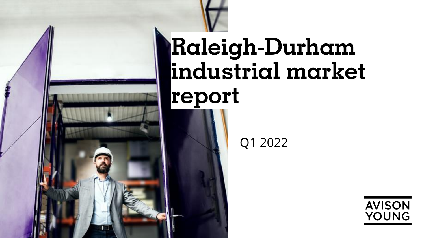

# **Raleigh-Durham industrial market report**

Q1 2022

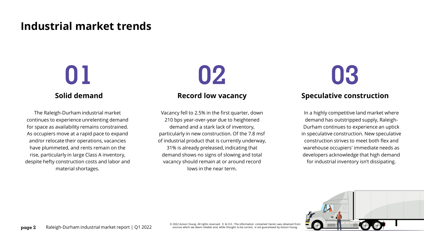## **Industrial market trends**

## **Solid demand**

The Raleigh-Durham industrial market continues to experience unrelenting demand for space as availability remains constrained. As occupiers move at a rapid pace to expand and/or relocate their operations, vacancies have plummeted, and rents remain on the rise, particularly in large Class A inventory, despite hefty construction costs and labor and material shortages.

## **Record low vacancy**

Vacancy fell to 2.5% in the first quarter, down 210 bps year-over-year due to heightened demand and a stark lack of inventory, particularly in new construction. Of the 7.8 msf of industrial product that is currently underway, 31% is already preleased, indicating that demand shows no signs of slowing and total vacancy should remain at or around record lows in the near term.

# **01 02 03**

## **Speculative construction**

In a highly competitive land market where demand has outstripped supply, Raleigh-Durham continues to experience an uptick in speculative construction. New speculative construction strives to meet both flex and warehouse occupiers' immediate needs as developers acknowledge that high demand for industrial inventory isn't dissipating.



© 2022 Avison Young. All rights reserved. E. & O.E.: The information contained herein was obtained from sources which we deem reliable and, while thought to be correct, is not guaranteed by Avison Young.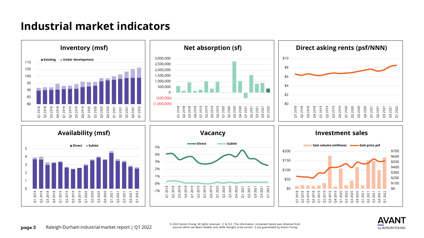## **Industrial market indicators**





© 2022 Avison Young. All rights reserved. E. & O.E.: The information contained herein was obtained from sources which we deem reliable and, while thought to be correct, is not guaranteed by Avison Young.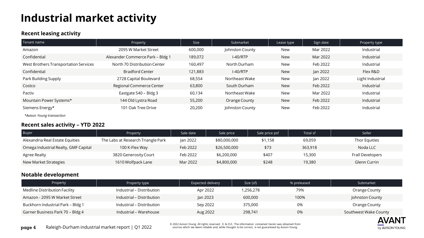## **Industrial market activity**

### **Recent leasing activity**

| Tenant name                           | Property                         | <b>Size</b> | Submarket                     | Lease type | Sign date | Property type    |  |
|---------------------------------------|----------------------------------|-------------|-------------------------------|------------|-----------|------------------|--|
| Amazon                                | 2095 W Market Street             | 600,000     | Johnston County               | New        | Mar 2022  | Industrial       |  |
| Confidential                          | Alexander Commerce Park - Bldg 1 | 189,072     | $I-40/RTP$<br>New<br>Mar 2022 |            |           | Industrial       |  |
| West Brothers Transportation Services | North 70 Distribution Center     | 160,497     | North Durham                  | New        | Feb 2022  | Industrial       |  |
| Confidential                          | <b>Bradford Center</b>           | 121,883     | $I-40/RTP$                    | New        | Jan 2022  | Flex R&D         |  |
| Park Building Supply                  | 2728 Capital Boulevard           | 68,554      | Northeast Wake                | New        | Jan 2022  | Light Industrial |  |
| Costco                                | Regional Commerce Center         | 63,800      | South Durham                  | <b>New</b> | Feb 2022  | Industrial       |  |
| Pactiv                                | Eastgate 540 - Bldg 3            | 60,134      | Northeast Wake                | New        | Mar 2022  | Industrial       |  |
| Mountain Power Systems*               | 144 Old Lystra Road              | 55,200      | Orange County                 | New        | Feb 2022  | Industrial       |  |
| Siemens Energy*                       | 101 Oak Tree Drive               | 20,200      | Johnston County               | New        | Feb 2022  | Industrial       |  |

*\*Avison Young transaction*

#### **Recent sales activity – YTD 2022**

| Buyer                                | Property                           | Sale date | Sale price   | Sale price psf | Total sf | Seller           |
|--------------------------------------|------------------------------------|-----------|--------------|----------------|----------|------------------|
| Alexandria Real Estate Equities      | The Labs at Research Triangle Park | Jan 2022  | \$80,000,000 | \$1,158        | 69,059   | Thor Equities    |
| Omega Industrial Realty, GMF Capital | 100 K-Flex Way                     | Feb 2022  | \$26,500,000 | \$73           | 363,918  | Noda LLC         |
| Agree Realty                         | 3820 Generosity Court              | Feb 2022  | \$6,200,000  | \$407          | 15,300   | Frall Developers |
| New Market Strategies                | 1610 Wolfpack Lane                 | Mar 2022  | \$4,800,000  | \$248          | 19,380   | Glenn Currin     |

### **Notable development**

| Property                          | Property type             | Expected delivery | Size (sf) | % preleased | Submarket             |
|-----------------------------------|---------------------------|-------------------|-----------|-------------|-----------------------|
| Medline Distribution Facility     | Industrial – Distribution | Apr 2022          | 1,256,278 | 79%         | Orange County         |
| Amazon - 2095 W Market Street     | Industrial – Distribution | Jan 2023          | 600,000   | 100%        | Johnston County       |
| Buckhorn Industrial Park - Bldg 1 | Industrial – Distribution | Sep 2022          | 375,000   | 0%          | Orange County         |
| Garner Business Park 70 - Bldg 4  | Industrial – Warehouse    | Aug 2022          | 298,741   | 0%          | Southwest Wake County |



© 2022 Avison Young. All rights reserved. E. & O.E.: The information contained herein was obtained from sources which we deem reliable and, while thought to be correct, is not guaranteed by Avison Young.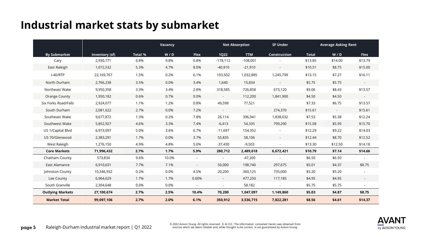## **Industrial market stats by submarket**

|                         |                |                | Vacancy |             | <b>Net Absorption</b> |            | <b>SF Under</b>          |              | <b>Average Asking Rent</b> |                          |
|-------------------------|----------------|----------------|---------|-------------|-----------------------|------------|--------------------------|--------------|----------------------------|--------------------------|
| <b>By Submarket</b>     | Inventory (sf) | <b>Total %</b> | W / D   | <b>Flex</b> | <b>1Q22</b>           | <b>TTM</b> | <b>Construction</b>      | <b>Total</b> | W/D                        | <b>Flex</b>              |
| Cary                    | 2,930,771      | 6.8%           | 9.8%    | 0.8%        | $-178,112$            | $-108,001$ |                          | \$13.85      | \$14.00                    | \$13.79                  |
| East Raleigh            | 1,072,532      | 5.3%           | 4.7%    | 8.0%        | $-40,910$             | $-21,910$  | $\blacksquare$           | \$10.51      | \$8.75                     | \$15.00                  |
| $I-40/RTP$              | 22,169,767     | 1.5%           | 0.2%    | 6.1%        | 103,502               | 1,032,885  | 1,245,799                | \$13.15      | \$7.27                     | \$16.11                  |
| North Durham            | 2,766,238      | 3.5%           | 0.0%    | 3.4%        | 1,640                 | 15,834     | $\sim$                   | \$5.75       | \$5.75                     | $\sim$                   |
| Northeast Wake          | 9,950,358      | 3.3%           | 3.4%    | 2.8%        | 318,585               | 726,858    | 673,120                  | \$9.06       | \$8.43                     | \$13.57                  |
| Orange County           | 1,950,182      | 0.6%           | 0.7%    | 0.0%        | $\sim$                | 112,200    | 1,841,900                | \$4.50       | \$4.50                     | $\overline{\phantom{a}}$ |
| Six Forks Road/Falls    | 2,924,077      | 1.1%           | 1.2%    | 0.8%        | 49,598                | 77,521     |                          | \$7.33       | \$6.75                     | \$13.57                  |
| South Durham            | 2,081,622      | 2.7%           | 0.0%    | 7.2%        | $\sim$                | $\sim$     | 274,370                  | \$15.61      | $\sim$ .                   | \$15.61                  |
| Southeast Wake          | 9,677,872      | 1.3%           | 0.2%    | 7.8%        | 26,114                | 396,941    | 1,838,032                | \$7.53       | \$5.38                     | \$12.24                  |
| Southwest Wake          | 5,852,927      | 4.6%           | 3.3%    | 7.4%        | $-6,413$              | 54,335     | 799,200                  | \$15.08      | \$5.95                     | \$15.70                  |
| US 1/Capital Blvd       | 6,973,097      | 5.0%           | 3.6%    | 6.7%        | $-11,697$             | 154,352    |                          | \$12.29      | \$9.22                     | \$14.03                  |
| US 70/Glenwood          | 2,383,291      | 1.7%           | 0.0%    | 3.7%        | 55,835                | 58,106     | $\overline{\phantom{a}}$ | \$12.44      | \$8.70                     | \$12.52                  |
| West Raleigh            | 1,276,150      | 4.9%           | 4.8%    | 5.0%        | $-37,430$             | $-9,503$   | ÷.                       | \$13.30      | \$12.50                    | \$14.18                  |
| <b>Core Markets</b>     | 71,996,432     | 2.7%           | 1.7%    | 5.9%        | 280,712               | 2,489,618  | 6,672,421                | \$10.79      | \$7.14                     | \$14.66                  |
| Chatham County          | 573,834        | 9.6%           | 10.0%   |             | $\sim$                | $-47,200$  |                          | \$6.50       | \$6.50                     | $\blacksquare$           |
| East Alamance           | 6,910,631      | 7.7%           | 7.1%    | $\sim$      | 50,000                | 198,740    | 297,675                  | \$5.01       | \$4.37                     | \$8.75                   |
| Johnston County         | 10,346,932     | 0.2%           | 0.0%    | 4.5%        | 20,200                | 360,125    | 735,000                  | \$5.20       | \$5.20                     | $\blacksquare$           |
| Lee County              | 6,964,629      | 1.7%           | 1.7%    | 0.00%       | $\sim$                | 477,250    | 117,185                  | \$4.95       | \$4.95                     | $\sim$                   |
| South Granville         | 2,304,648      | 0.0%           | 0.0%    | $\sim$      | $\sim$                | 58,182     | $\blacksquare$           | \$5.75       | \$5.75                     | $\overline{\phantom{a}}$ |
| <b>Outlying Markets</b> | 27,100,674     | 2.7%           | 2.5%    | 10.4%       | 70,200                | 1,047,097  | 1,149,860                | \$5.03       | \$4.87                     | \$8.75                   |
| <b>Market Total</b>     | 99,097,106     | 2.7%           | 2.0%    | 6.1%        | 350,912               | 3,536,715  | 7,822,281                | \$8.56       | \$4.61                     | \$14.37                  |